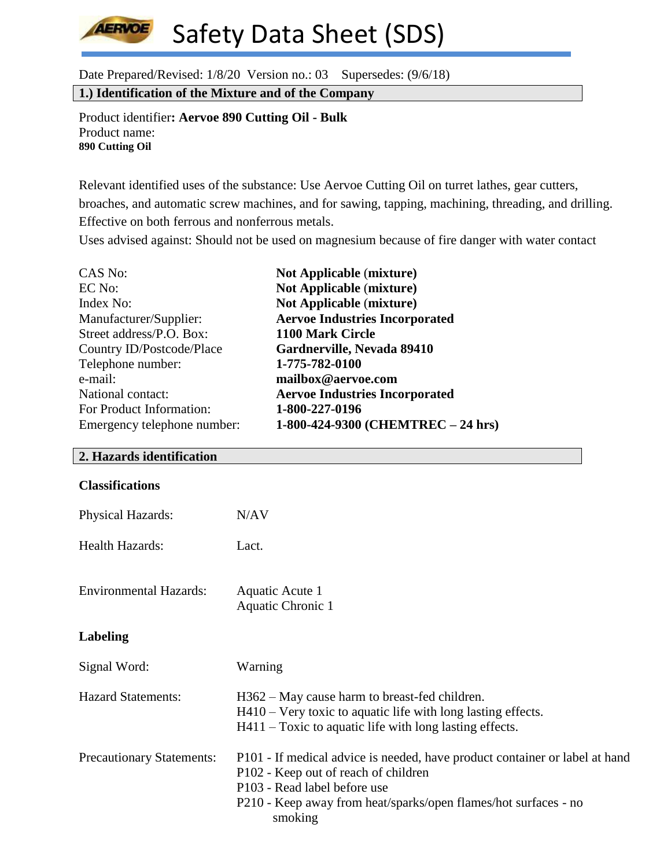**AERVOE** Safety Data Sheet (SDS)

Date Prepared/Revised: 1/8/20 Version no.: 03 Supersedes: (9/6/18)

**1.) Identification of the Mixture and of the Company**

Product identifier**: Aervoe 890 Cutting Oil - Bulk** Product name: **890 Cutting Oil**

Relevant identified uses of the substance: Use Aervoe Cutting Oil on turret lathes, gear cutters, broaches, and automatic screw machines, and for sawing, tapping, machining, threading, and drilling. Effective on both ferrous and nonferrous metals.

Uses advised against: Should not be used on magnesium because of fire danger with water contact

| CAS No:                     | <b>Not Applicable (mixture)</b>       |
|-----------------------------|---------------------------------------|
| EC No:                      | <b>Not Applicable (mixture)</b>       |
| Index No:                   | <b>Not Applicable (mixture)</b>       |
| Manufacturer/Supplier:      | <b>Aervoe Industries Incorporated</b> |
| Street address/P.O. Box:    | 1100 Mark Circle                      |
| Country ID/Postcode/Place   | Gardnerville, Nevada 89410            |
| Telephone number:           | 1-775-782-0100                        |
| e-mail:                     | mailbox@aervoe.com                    |
| National contact:           | <b>Aervoe Industries Incorporated</b> |
| For Product Information:    | 1-800-227-0196                        |
| Emergency telephone number: | 1-800-424-9300 (CHEMTREC - 24 hrs)    |

#### **2. Hazards identification**

| <b>Physical Hazards:</b>      | N/AV                                                                                                                                                                         |
|-------------------------------|------------------------------------------------------------------------------------------------------------------------------------------------------------------------------|
| <b>Health Hazards:</b>        | Lact.                                                                                                                                                                        |
| <b>Environmental Hazards:</b> | Aquatic Acute 1<br>Aquatic Chronic 1                                                                                                                                         |
| <b>Labeling</b>               |                                                                                                                                                                              |
| Signal Word:                  | Warning                                                                                                                                                                      |
| <b>Hazard Statements:</b>     | H362 – May cause harm to breast-fed children.<br>$H410$ – Very toxic to aquatic life with long lasting effects.<br>$H411$ – Toxic to aquatic life with long lasting effects. |

| <b>Precautionary Statements:</b> | P101 - If medical advice is needed, have product container or label at hand |
|----------------------------------|-----------------------------------------------------------------------------|
|                                  | P <sub>102</sub> - Keep out of reach of children                            |
|                                  | P <sub>103</sub> - Read label before use                                    |
|                                  | P210 - Keep away from heat/sparks/open flames/hot surfaces - no             |
|                                  | smoking                                                                     |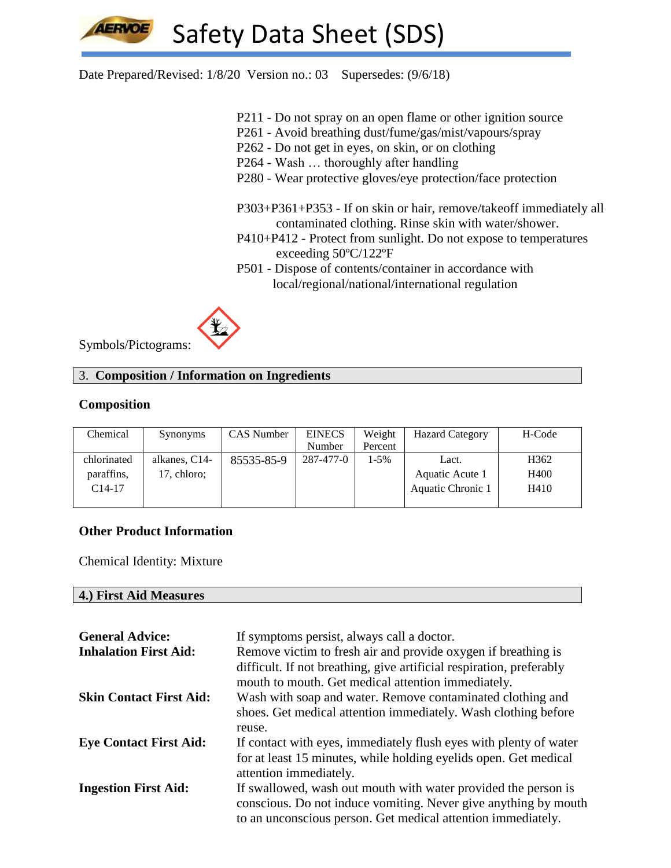Date Prepared/Revised: 1/8/20 Version no.: 03 Supersedes: (9/6/18)

- P211 Do not spray on an open flame or other ignition source
- P261 Avoid breathing dust/fume/gas/mist/vapours/spray
- P262 Do not get in eyes, on skin, or on clothing
- P264 Wash … thoroughly after handling
- P280 Wear protective gloves/eye protection/face protection
- P303+P361+P353 If on skin or hair, remove/takeoff immediately all contaminated clothing. Rinse skin with water/shower.
- P410+P412 Protect from sunlight. Do not expose to temperatures exceeding 50ºC/122ºF
- P501 Dispose of contents/container in accordance with local/regional/national/international regulation



Symbols/Pictograms:

# 3. **Composition / Information on Ingredients**

# **Composition**

| Chemical    | Synonyms      | CAS Number | <b>EINECS</b> | Weight  | <b>Hazard Category</b> | H-Code           |
|-------------|---------------|------------|---------------|---------|------------------------|------------------|
|             |               |            | Number        | Percent |                        |                  |
| chlorinated | alkanes, C14- | 85535-85-9 | 287-477-0     | $1-5%$  | Lact.                  | H <sub>362</sub> |
| paraffins.  | 17, chloro;   |            |               |         | Aquatic Acute 1        | H400             |
| $C14-17$    |               |            |               |         | Aquatic Chronic 1      | H410             |
|             |               |            |               |         |                        |                  |

# **Other Product Information**

Chemical Identity: Mixture

#### **4.) First Aid Measures**

| <b>General Advice:</b>         | If symptoms persist, always call a doctor.                                                                                 |
|--------------------------------|----------------------------------------------------------------------------------------------------------------------------|
| <b>Inhalation First Aid:</b>   | Remove victim to fresh air and provide oxygen if breathing is                                                              |
|                                | difficult. If not breathing, give artificial respiration, preferably<br>mouth to mouth. Get medical attention immediately. |
| <b>Skin Contact First Aid:</b> | Wash with soap and water. Remove contaminated clothing and                                                                 |
|                                | shoes. Get medical attention immediately. Wash clothing before                                                             |
|                                | reuse.                                                                                                                     |
| <b>Eye Contact First Aid:</b>  | If contact with eyes, immediately flush eyes with plenty of water                                                          |
|                                | for at least 15 minutes, while holding eyelids open. Get medical                                                           |
|                                | attention immediately.                                                                                                     |
| <b>Ingestion First Aid:</b>    | If swallowed, wash out mouth with water provided the person is                                                             |
|                                | conscious. Do not induce vomiting. Never give anything by mouth                                                            |
|                                | to an unconscious person. Get medical attention immediately.                                                               |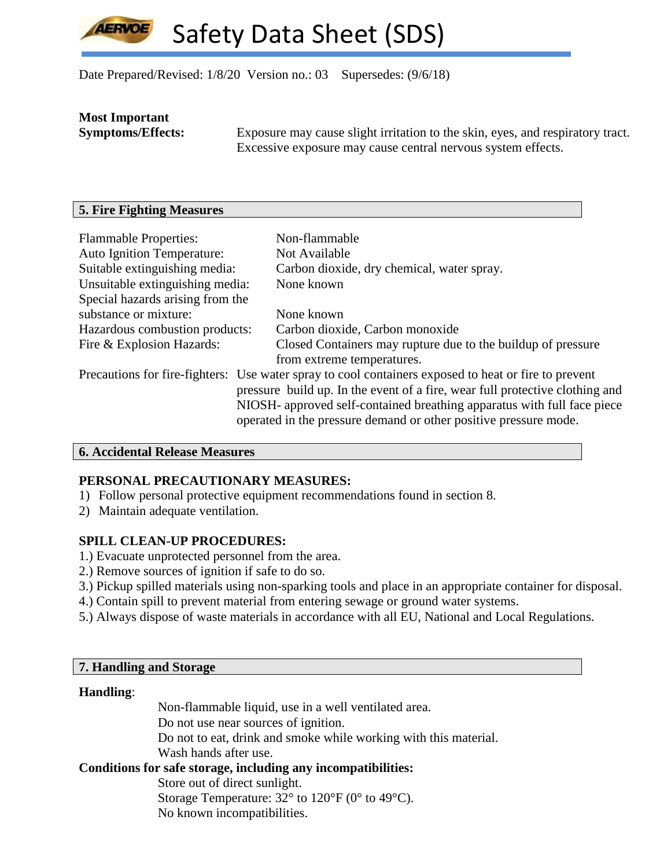Date Prepared/Revised: 1/8/20 Version no.: 03 Supersedes: (9/6/18)

# **Most Important**

**Symptoms/Effects:** Exposure may cause slight irritation to the skin, eyes, and respiratory tract. Excessive exposure may cause central nervous system effects.

# **5. Fire Fighting Measures**

| <b>Flammable Properties:</b>      | Non-flammable                                                                                        |
|-----------------------------------|------------------------------------------------------------------------------------------------------|
| <b>Auto Ignition Temperature:</b> | Not Available                                                                                        |
| Suitable extinguishing media:     | Carbon dioxide, dry chemical, water spray.                                                           |
| Unsuitable extinguishing media:   | None known                                                                                           |
| Special hazards arising from the  |                                                                                                      |
| substance or mixture:             | None known                                                                                           |
| Hazardous combustion products:    | Carbon dioxide, Carbon monoxide                                                                      |
| Fire & Explosion Hazards:         | Closed Containers may rupture due to the buildup of pressure                                         |
|                                   | from extreme temperatures.                                                                           |
|                                   | Precautions for fire-fighters: Use water spray to cool containers exposed to heat or fire to prevent |
|                                   | pressure build up. In the event of a fire, wear full protective clothing and                         |
|                                   | NIOSH- approved self-contained breathing apparatus with full face piece                              |
|                                   | operated in the pressure demand or other positive pressure mode.                                     |

# **6. Accidental Release Measures**

# **PERSONAL PRECAUTIONARY MEASURES:**

- 1) Follow personal protective equipment recommendations found in section 8.
- 2) Maintain adequate ventilation.

# **SPILL CLEAN-UP PROCEDURES:**

- 1.) Evacuate unprotected personnel from the area.
- 2.) Remove sources of ignition if safe to do so.
- 3.) Pickup spilled materials using non-sparking tools and place in an appropriate container for disposal.
- 4.) Contain spill to prevent material from entering sewage or ground water systems.
- 5.) Always dispose of waste materials in accordance with all EU, National and Local Regulations.

# **7. Handling and Storage**

# **Handling**:

Non-flammable liquid, use in a well ventilated area. Do not use near sources of ignition. Do not to eat, drink and smoke while working with this material. Wash hands after use.

# **Conditions for safe storage, including any incompatibilities:**

Store out of direct sunlight. Storage Temperature:  $32^{\circ}$  to  $120^{\circ}$  F (0° to 49°C). No known incompatibilities.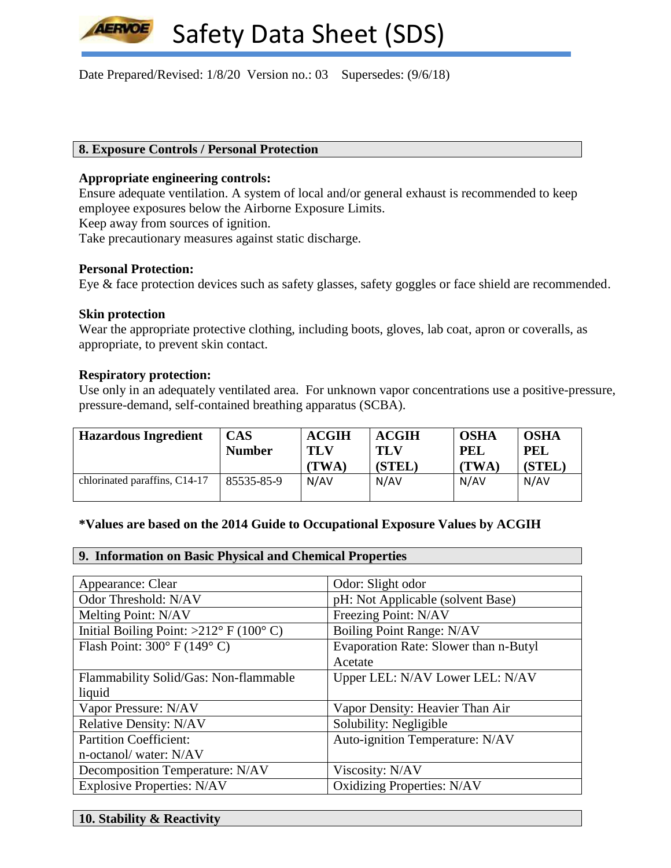Date Prepared/Revised: 1/8/20 Version no.: 03 Supersedes: (9/6/18)

#### **8. Exposure Controls / Personal Protection**

#### **Appropriate engineering controls:**

Ensure adequate ventilation. A system of local and/or general exhaust is recommended to keep employee exposures below the Airborne Exposure Limits.

Keep away from sources of ignition.

Take precautionary measures against static discharge.

#### **Personal Protection:**

**LERVOE** 

Eye & face protection devices such as safety glasses, safety goggles or face shield are recommended.

#### **Skin protection**

Wear the appropriate protective clothing, including boots, gloves, lab coat, apron or coveralls, as appropriate, to prevent skin contact.

#### **Respiratory protection:**

Use only in an adequately ventilated area. For unknown vapor concentrations use a positive-pressure, pressure-demand, self-contained breathing apparatus (SCBA).

| <b>Hazardous Ingredient</b>   | CAS<br><b>Number</b> | <b>ACGIH</b><br>TLV<br>(TWA) | <b>ACGIH</b><br>TLV<br>(STEL) | <b>OSHA</b><br>PEL<br>(TWA) | <b>OSHA</b><br><b>PEL</b><br>(STEL) |
|-------------------------------|----------------------|------------------------------|-------------------------------|-----------------------------|-------------------------------------|
| chlorinated paraffins, C14-17 | 85535-85-9           | N/AV                         | N/AV                          | N/AV                        | N/AV                                |

#### **\*Values are based on the 2014 Guide to Occupational Exposure Values by ACGIH**

#### **9. Information on Basic Physical and Chemical Properties**

| Appearance: Clear                               | Odor: Slight odor                     |
|-------------------------------------------------|---------------------------------------|
| Odor Threshold: N/AV                            | pH: Not Applicable (solvent Base)     |
| Melting Point: N/AV                             | Freezing Point: N/AV                  |
| Initial Boiling Point: $>212^{\circ}$ F (100°C) | Boiling Point Range: N/AV             |
| Flash Point: $300^{\circ}$ F (149°C)            | Evaporation Rate: Slower than n-Butyl |
|                                                 | Acetate                               |
| Flammability Solid/Gas: Non-flammable           | Upper LEL: N/AV Lower LEL: N/AV       |
| liquid                                          |                                       |
| Vapor Pressure: N/AV                            | Vapor Density: Heavier Than Air       |
| <b>Relative Density: N/AV</b>                   | Solubility: Negligible                |
| <b>Partition Coefficient:</b>                   | Auto-ignition Temperature: N/AV       |
| n-octanol/water: N/AV                           |                                       |
| Decomposition Temperature: N/AV                 | Viscosity: N/AV                       |
| <b>Explosive Properties: N/AV</b>               | <b>Oxidizing Properties: N/AV</b>     |

**10. Stability & Reactivity**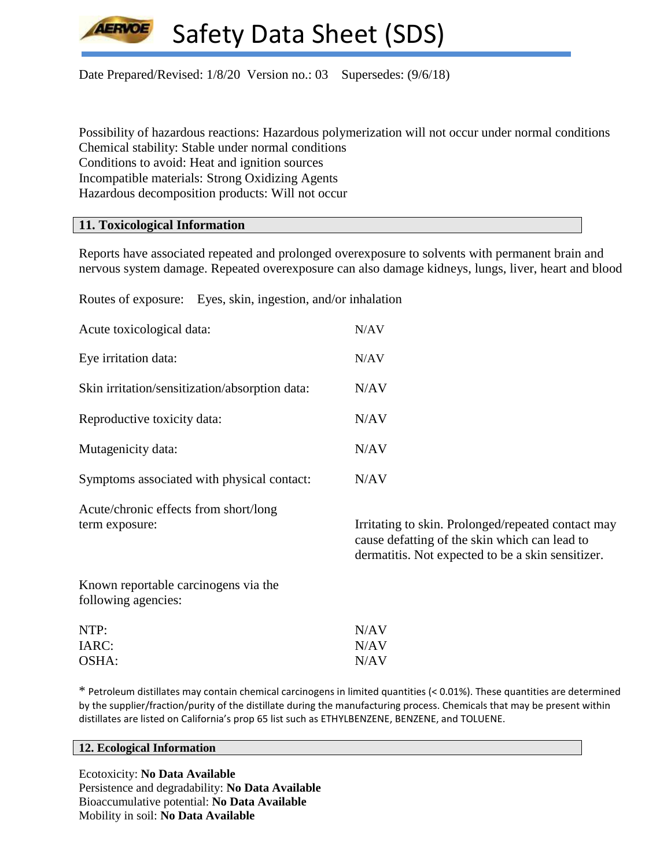

Date Prepared/Revised: 1/8/20 Version no.: 03 Supersedes: (9/6/18)

Possibility of hazardous reactions: Hazardous polymerization will not occur under normal conditions Chemical stability: Stable under normal conditions Conditions to avoid: Heat and ignition sources Incompatible materials: Strong Oxidizing Agents Hazardous decomposition products: Will not occur

#### **11. Toxicological Information**

Reports have associated repeated and prolonged overexposure to solvents with permanent brain and nervous system damage. Repeated overexposure can also damage kidneys, lungs, liver, heart and blood

Routes of exposure: Eyes, skin, ingestion, and/or inhalation

| Acute toxicological data:                                   | N/AV                                                                                                |
|-------------------------------------------------------------|-----------------------------------------------------------------------------------------------------|
| Eye irritation data:                                        | N/AV                                                                                                |
| Skin irritation/sensitization/absorption data:              | N/AV                                                                                                |
| Reproductive toxicity data:                                 | N/AV                                                                                                |
| Mutagenicity data:                                          | N/AV                                                                                                |
| Symptoms associated with physical contact:                  | N/AV                                                                                                |
| Acute/chronic effects from short/long<br>term exposure:     | Irritating to skin. Prolonged/repeated contact may<br>cause defatting of the skin which can lead to |
|                                                             | dermatitis. Not expected to be a skin sensitizer.                                                   |
| Known reportable carcinogens via the<br>following agencies: |                                                                                                     |

\* Petroleum distillates may contain chemical carcinogens in limited quantities (< 0.01%). These quantities are determined by the supplier/fraction/purity of the distillate during the manufacturing process. Chemicals that may be present within distillates are listed on California's prop 65 list such as ETHYLBENZENE, BENZENE, and TOLUENE.

#### **12. Ecological Information**

Ecotoxicity: **No Data Available** Persistence and degradability: **No Data Available** Bioaccumulative potential: **No Data Available** Mobility in soil: **No Data Available**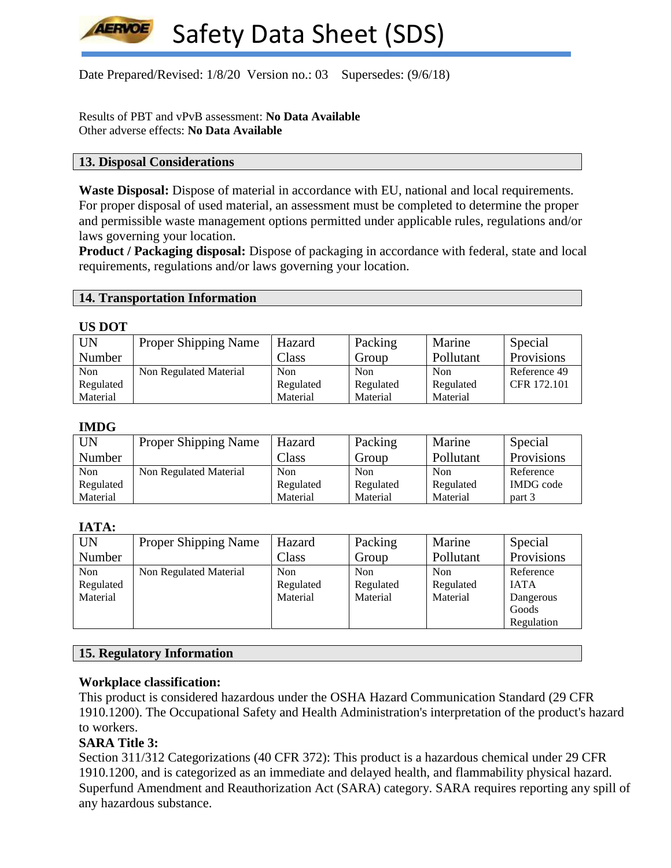Date Prepared/Revised: 1/8/20 Version no.: 03 Supersedes: (9/6/18)

Results of PBT and vPvB assessment: **No Data Available** Other adverse effects: **No Data Available**

#### **13. Disposal Considerations**

**Waste Disposal:** Dispose of material in accordance with EU, national and local requirements. For proper disposal of used material, an assessment must be completed to determine the proper and permissible waste management options permitted under applicable rules, regulations and/or laws governing your location.

**Product / Packaging disposal:** Dispose of packaging in accordance with federal, state and local requirements, regulations and/or laws governing your location.

#### **14. Transportation Information**

#### **US DOT**

| <b>UN</b> | <b>Proper Shipping Name</b> | Hazard     | Packing    | Marine     | Special      |
|-----------|-----------------------------|------------|------------|------------|--------------|
| Number    |                             | Class      | Group      | Pollutant  | Provisions   |
| Non       | Non Regulated Material      | <b>Non</b> | <b>Non</b> | <b>Non</b> | Reference 49 |
| Regulated |                             | Regulated  | Regulated  | Regulated  | CFR 172.101  |
| Material  |                             | Material   | Material   | Material   |              |

#### **IMDG**

| <b>UN</b> | <b>Proper Shipping Name</b> | Hazard    | Packing   | Marine    | Special          |
|-----------|-----------------------------|-----------|-----------|-----------|------------------|
| Number    |                             | Class     | Group     | Pollutant | Provisions       |
| Non       | Non Regulated Material      | Non       | Non       | Non       | Reference        |
| Regulated |                             | Regulated | Regulated | Regulated | <b>IMDG</b> code |
| Material  |                             | Material  | Material  | Material  | part 3           |

#### **IATA:**

| UN        | <b>Proper Shipping Name</b> | Hazard    | Packing   | Marine    | Special     |
|-----------|-----------------------------|-----------|-----------|-----------|-------------|
| Number    |                             | Class     | Group     | Pollutant | Provisions  |
| Non       | Non Regulated Material      | Non       | Non       | Non       | Reference   |
| Regulated |                             | Regulated | Regulated | Regulated | <b>IATA</b> |
| Material  |                             | Material  | Material  | Material  | Dangerous   |
|           |                             |           |           |           | Goods       |
|           |                             |           |           |           | Regulation  |

# **15. Regulatory Information**

# **Workplace classification:**

This product is considered hazardous under the OSHA Hazard Communication Standard (29 CFR 1910.1200). The Occupational Safety and Health Administration's interpretation of the product's hazard to workers.

# **SARA Title 3:**

Section 311/312 Categorizations (40 CFR 372): This product is a hazardous chemical under 29 CFR 1910.1200, and is categorized as an immediate and delayed health, and flammability physical hazard. Superfund Amendment and Reauthorization Act (SARA) category. SARA requires reporting any spill of any hazardous substance.